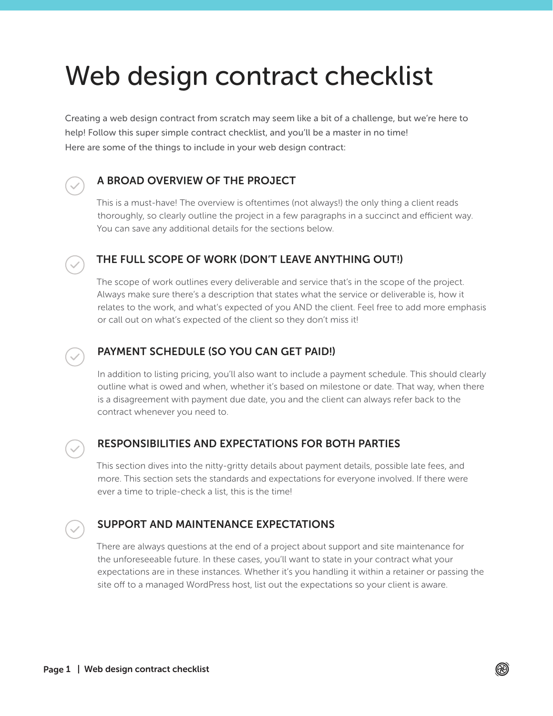# Web design contract checklist

Creating a web design contract from scratch may seem like a bit of a challenge, but we're here to help! Follow this super simple contract checklist, and you'll be a master in no time! Here are some of the things to include in your web design contract:

# A BROAD OVERVIEW OF THE PROJECT

This is a must-have! The overview is oftentimes (not always!) the only thing a client reads thoroughly, so clearly outline the project in a few paragraphs in a succinct and efficient way. You can save any additional details for the sections below.

# THE FULL SCOPE OF WORK (DON'T LEAVE ANYTHING OUT!)

The scope of work outlines every deliverable and service that's in the scope of the project. Always make sure there's a description that states what the service or deliverable is, how it relates to the work, and what's expected of you AND the client. Feel free to add more emphasis or call out on what's expected of the client so they don't miss it!



### PAYMENT SCHEDULE (SO YOU CAN GET PAID!)

In addition to listing pricing, you'll also want to include a payment schedule. This should clearly outline what is owed and when, whether it's based on milestone or date. That way, when there is a disagreement with payment due date, you and the client can always refer back to the contract whenever you need to.



# RESPONSIBILITIES AND EXPECTATIONS FOR BOTH PARTIES

This section dives into the nitty-gritty details about payment details, possible late fees, and more. This section sets the standards and expectations for everyone involved. If there were ever a time to triple-check a list, this is the time!



### SUPPORT AND MAINTENANCE EXPECTATIONS

There are always questions at the end of a project about support and site maintenance for the unforeseeable future. In these cases, you'll want to state in your contract what your expectations are in these instances. Whether it's you handling it within a retainer or passing the site off to a managed WordPress host, list out the expectations so your client is aware.